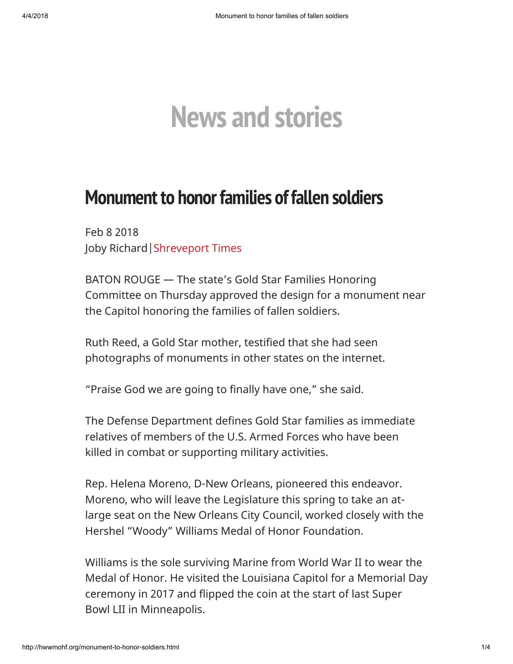## News and stories

## Monument to honor families of fallen soldiers

Feb 8 2018 Joby Richard|[Shreveport](https://www.shreveporttimes.com/story/news/local/louisiana/2018/02/08/monument-honor-families-fallen-soldiers/322277002/) Times

BATON ROUGE — The state's Gold Star Families Honoring Committee on Thursday approved the design for a monument near the Capitol honoring the families of fallen soldiers.

Ruth Reed, a Gold Star mother, testified that she had seen photographs of monuments in other states on the internet.

"Praise God we are going to finally have one," she said.

The Defense Department defines Gold Star families as immediate relatives of members of the U.S. Armed Forces who have been killed in combat or supporting military activities.

Rep. Helena Moreno, D-New Orleans, pioneered this endeavor. Moreno, who will leave the Legislature this spring to take an atlarge seat on the New Orleans City Council, worked closely with the Hershel "Woody" Williams Medal of Honor Foundation.

Williams is the sole surviving Marine from World War II to wear the Medal of Honor. He visited the Louisiana Capitol for a Memorial Day ceremony in 2017 and flipped the coin at the start of last Super Bowl LII in Minneapolis.